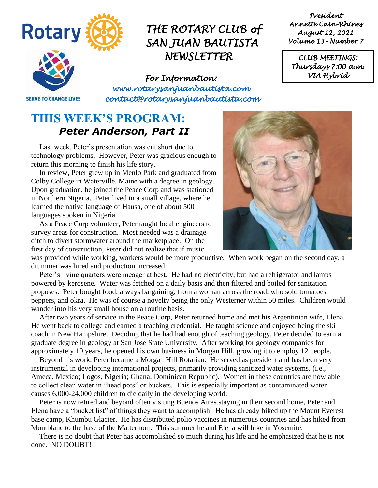

*CLUB MEETINGS:* 

**SERVE TO CHANGE LIVES** 

*For Information: [www.rotarysanjuanbautista.com](http://www.rotarysanjuanbautista.com/)  contact@rotarysanjuanbautista.com* 

### **THIS WEEK'S PROGRAM:**  *Peter Anderson, Part II*

Last week, Peter's presentation was cut short due to technology problems. However, Peter was gracious enough to return this morning to finish his life story.

In review, Peter grew up in Menlo Park and graduated from Colby College in Waterville, Maine with a degree in geology. Upon graduation, he joined the Peace Corp and was stationed in Northern Nigeria. Peter lived in a small village, where he learned the native language of Hausa, one of about 500 languages spoken in Nigeria.

As a Peace Corp volunteer, Peter taught local engineers to survey areas for construction. Most needed was a drainage ditch to divert stormwater around the marketplace. On the first day of construction, Peter did not realize that if music

was provided while working, workers would be more productive. When work began on the second day, a drummer was hired and production increased.

Peter's living quarters were meager at best. He had no electricity, but had a refrigerator and lamps powered by kerosene. Water was fetched on a daily basis and then filtered and boiled for sanitation proposes. Peter bought food, always bargaining, from a woman across the road, who sold tomatoes, peppers, and okra. He was of course a novelty being the only Westerner within 50 miles. Children would wander into his very small house on a routine basis.

After two years of service in the Peace Corp, Peter returned home and met his Argentinian wife, Elena. He went back to college and earned a teaching credential. He taught science and enjoyed being the ski coach in New Hampshire. Deciding that he had had enough of teaching geology, Peter decided to earn a graduate degree in geology at San Jose State University. After working for geology companies for approximately 10 years, he opened his own business in Morgan Hill, growing it to employ 12 people.

Beyond his work, Peter became a Morgan Hill Rotarian. He served as president and has been very instrumental in developing international projects, primarily providing sanitized water systems. (i.e., Ameca, Mexico; Logos, Nigeria; Ghana; Dominican Republic). Women in these countries are now able to collect clean water in "head pots" or buckets. This is especially important as contaminated water causes 6,000-24,000 children to die daily in the developing world.

Peter is now retired and beyond often visiting Buenos Aires staying in their second home, Peter and Elena have a "bucket list" of things they want to accomplish. He has already hiked up the Mount Everest base camp, Khumbu Glacier. He has distributed polio vaccines in numerous countries and has hiked from Montblanc to the base of the Matterhorn. This summer he and Elena will hike in Yosemite.

There is no doubt that Peter has accomplished so much during his life and he emphasized that he is not done. NO DOUBT!

*Thursdays 7:00 a.m. VIA Hybrid* 

*President Annette Cain-Rhines August 12, 2021 Volume 13– Number 7* 

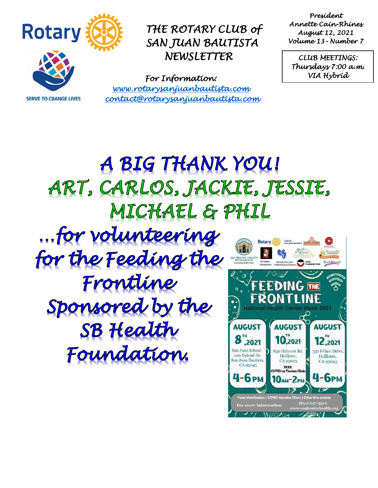

**SERVE TO CHANGE LIVES** 

*THE ROTARY CLUB of SAN JUAN BAUTISTA NEWSLETTER* 

*For Information: [www.rotarysanjuanbautista.com](http://www.rotarysanjuanbautista.com/)  contact@rotarysanjuanbautista.com* 

*President Annette Cain-Rhines August 12, 2021 Volume 13– Number 7* 

*CLUB MEETINGS: Thursdays 7:00 a.m. VIA Hybrid* 

# A BIG THANK YOU! ART, CARLOS, JACKIE, JESSIE, MICHAEL & PHIL

... for volunteering for the Feeding the Frontline Sponsored by the SB Health Foundation.

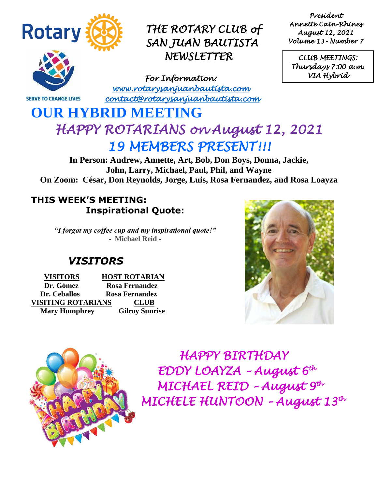

*President Annette Cain-Rhines August 12, 2021 Volume 13– Number 7* 

*CLUB MEETINGS: Thursdays 7:00 a.m. VIA Hybrid* 

**SERVE TO CHANGE LIVES** 

*For Information: [www.rotarysanjuanbautista.com](http://www.rotarysanjuanbautista.com/)  contact@rotarysanjuanbautista.com* 

### **OUR HYBRID MEETING**  *HAPPY ROTARIANS on August 12, 2021 19 MEMBERS PRESENT!!!*

**In Person: Andrew, Annette, Art, Bob, Don Boys, Donna, Jackie, John, Larry, Michael, Paul, Phil, and Wayne On Zoom: César, Don Reynolds, Jorge, Luis, Rosa Fernandez, and Rosa Loayza**

### **THIS WEEK'S MEETING: Inspirational Quote:**

*"I forgot my coffee cup and my inspirational quote!"* **- Michael Reid -**

### *VISITORS*

 **VISITORS HOST ROTARIAN Dr. Gómez Rosa Fernandez Dr. Ceballos Rosa Fernandez VISITING ROTARIANS CLUB Mary Humphrey Gilroy Sunrise**





*HAPPY BIRTHDAY EDDY LOAYZA – August 6th MICHAEL REID – August 9th MICHELE HUNTOON – August 13th*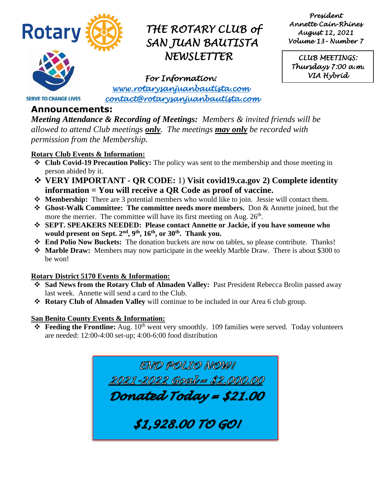

*President Annette Cain-Rhines August 12, 2021 Volume 13– Number 7* 

*CLUB MEETINGS: Thursdays 7:00 a.m. VIA Hybrid* 

*For Information: [www.rotarysanjuanbautista.com](http://www.rotarysanjuanbautista.com/)  contact@rotarysanjuanbautista.com* 

#### **Announcements:**

**SERVE TO CHANGE LIVES** 

*Meeting Attendance & Recording of Meetings: Members & invited friends will be allowed to attend Club meetings only. The meetings may only be recorded with permission from the Membership.*

#### **Rotary Club Events & Information:**

- ❖ **Club Covid-19 Precaution Policy:** The policy was sent to the membership and those meeting in person abided by it.
- ❖ **VERY IMPORTANT - QR CODE:** 1) **Visit covid19.ca.gov 2) Complete identity information = You will receive a QR Code as proof of vaccine.**
- ❖ **Membership:** There are 3 potential members who would like to join. Jessie will contact them.
- ❖ **Ghost-Walk Committee: The committee needs more members.** Don & Annette joined, but the more the merrier. The committee will have its first meeting on Aug.  $26<sup>th</sup>$ .
- ❖ **SEPT. SPEAKERS NEEDED: Please contact Annette or Jackie, if you have someone who would present on Sept. 2nd, 9th, 16th, or 30th. Thank you.**
- ❖ **End Polio Now Buckets:** The donation buckets are now on tables, so please contribute. Thanks!
- ❖ **Marble Draw:** Members may now participate in the weekly Marble Draw. There is about \$300 to be won!

#### **Rotary District 5170 Events & Information:**

- Sad News from the Rotary Club of Almaden Valley: Past President Rebecca Brolin passed away last week. Annette will send a card to the Club.
- ❖ **Rotary Club of Almaden Valley** will continue to be included in our Area 6 club group.

#### **San Benito County Events & Information:**

❖ **Feeding the Frontline:** Aug. 10th went very smoothly. 109 families were served.Today volunteers are needed: 12:00-4:00 set-up; 4:00-6:00 food distribution

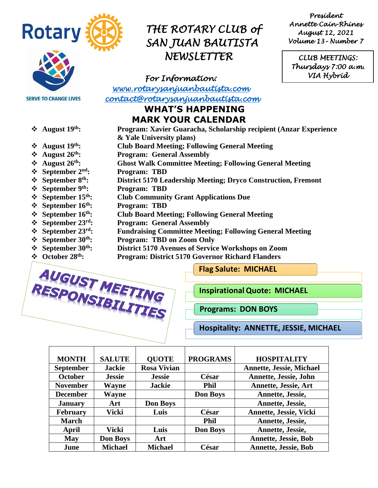

**SERVE TO CHANGE LIVES** 

- 
- 
- 
- 
- 
- 
- 
- 
- 
- 
- ❖ **September 23**
- 
- 
- 

AUGUST MEETING

### *THE ROTARY CLUB of SAN JUAN BAUTISTA NEWSLETTER*

*For Information:* 

*[www.rotarysanjuanbautista.com](http://www.rotarysanjuanbautista.com/)  contact@rotarysanjuanbautista.com* 

#### **WHAT'S HAPPENING MARK YOUR CALENDAR**

- ❖ **August 19th: Program: Xavier Guaracha, Scholarship recipient (Anzar Experience & Yale University plans)**
- ❖ **August 19th: Club Board Meeting; Following General Meeting**
- **❖** August 26<sup>th</sup>: Program: General Assembly<br>❖ August 26<sup>th</sup>: Ghost Walk Committee Meet
	- ❖ **August 26th: Ghost Walk Committee Meeting; Following General Meeting**
- ❖ **September 2nd: Program: TBD**
- ❖ **September 8th: District 5170 Leadership Meeting; Dryco Construction, Fremont**
- ❖ **September 9th: Program: TBD**
- ❖ **September 15th: Club Community Grant Applications Due**
- ❖ **September 16th: Program: TBD**
- ❖ **September 16th: Club Board Meeting; Following General Meeting**
	- **Program: General Assembly**
- ❖ **September 23rd: Fundraising Committee Meeting; Following General Meeting**
- ❖ **September 30th: Program: TBD on Zoom Only**
- ❖ **September 30th: District 5170 Avenues of Service Workshops on Zoom**
- ❖ **October 28th: Program: District 5170 Governor Richard Flanders**



**InspirationalQuote: MICHAEL**

**Programs: DON BOYS**

**Hospitality: ANNETTE, JESSIE, MICHAEL**

| <b>MONTH</b>     | <b>SALUTE</b>   | <b>OUOTE</b>       | <b>PROGRAMS</b> | <b>HOSPITALITY</b>              |
|------------------|-----------------|--------------------|-----------------|---------------------------------|
| <b>September</b> | <b>Jackie</b>   | <b>Rosa Vivian</b> |                 | <b>Annette, Jessie, Michael</b> |
| <b>October</b>   | <b>Jessie</b>   | <b>Jessie</b>      | César           | Annette, Jessie, John           |
| <b>November</b>  | Wayne           | <b>Jackie</b>      | <b>Phil</b>     | <b>Annette, Jessie, Art</b>     |
| <b>December</b>  | Wayne           |                    | <b>Don Boys</b> | Annette, Jessie,                |
| <b>January</b>   | Art             | <b>Don Boys</b>    |                 | Annette, Jessie,                |
| <b>February</b>  | Vicki           | Luis               | César           | <b>Annette, Jessie, Vicki</b>   |
| <b>March</b>     |                 |                    | <b>Phil</b>     | Annette, Jessie,                |
| April            | Vicki           | Luis               | <b>Don Boys</b> | Annette, Jessie,                |
| <b>May</b>       | <b>Don Boys</b> | Art                |                 | <b>Annette, Jessie, Bob</b>     |
| June             | <b>Michael</b>  | <b>Michael</b>     | César           | <b>Annette, Jessie, Bob</b>     |

*President Annette Cain-Rhines August 12, 2021 Volume 13– Number 7* 

*CLUB MEETINGS: Thursdays 7:00 a.m. VIA Hybrid*